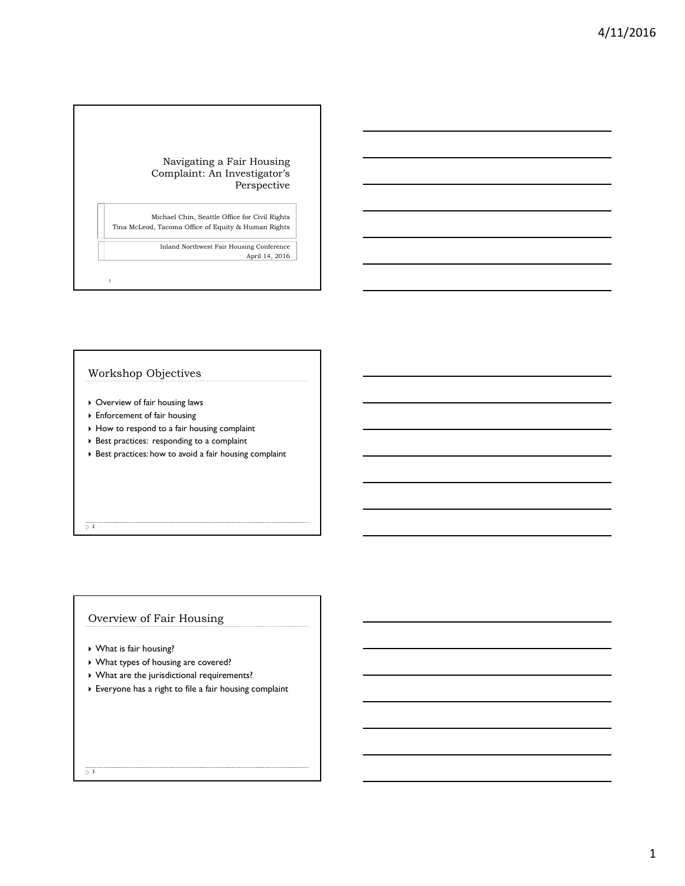#### Navigating a Fair Housing Complaint: An Investigator's Perspective

Michael Chin, Seattle Office for Civil Rights Tina McLeod, Tacoma Office of Equity & Human Rights

> Inland Northwest Fair Housing Conference April 14, 2016

# Workshop Objectives

1

- Overview of fair housing laws
- Enforcement of fair housing
- $\rightarrow$  How to respond to a fair housing complaint
- Best practices: responding to a complaint
- $\blacktriangleright$  Best practices: how to avoid a fair housing complaint

 $\overline{\triangleright}$  2

## Overview of Fair Housing

- What is fair housing?
- What types of housing are covered?
- What are the jurisdictional requirements?
- Everyone has a right to file a fair housing complaint

 $\overline{)}$  3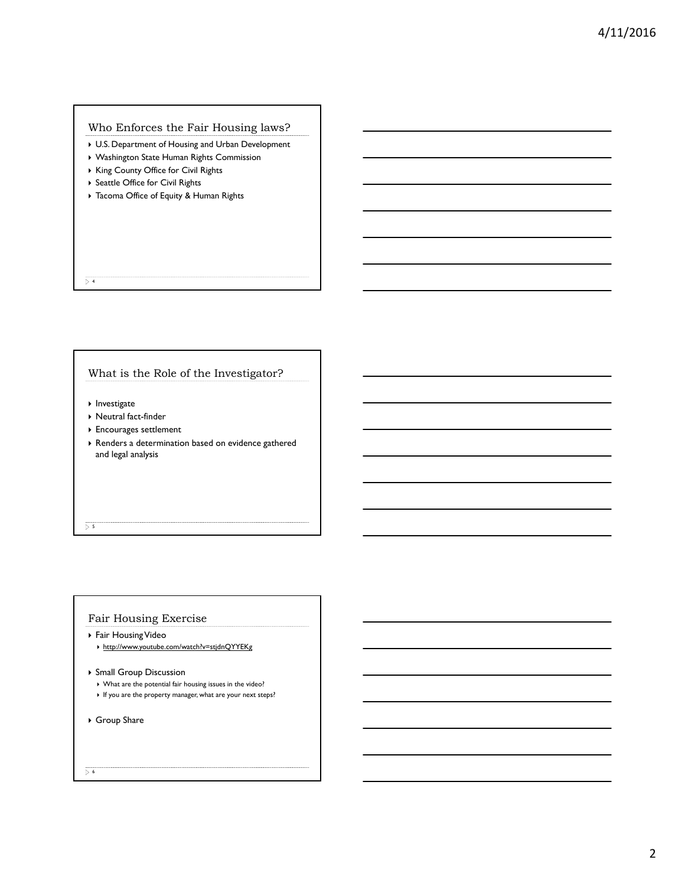## Who Enforces the Fair Housing laws?

- ▶ U.S. Department of Housing and Urban Development
- Washington State Human Rights Commission
- ▶ King County Office for Civil Rights
- ▶ Seattle Office for Civil Rights
- Tacoma Office of Equity & Human Rights

 $\overline{)4}$ 

## What is the Role of the Investigator?

- $\blacktriangleright$  Investigate
- Neutral fact-finder
- Encourages settlement
- Renders a determination based on evidence gathered and legal analysis

 $5 - 5$ 

## Fair Housing Exercise

- Fair Housing Video
	- http://www.youtube.com/watch?v=stjdnQYYEKg
- Small Group Discussion
	- What are the potential fair housing issues in the video?
	- $\blacktriangleright$  If you are the property manager, what are your next steps?
- Group Share

 $\overline{\triangleright}$  6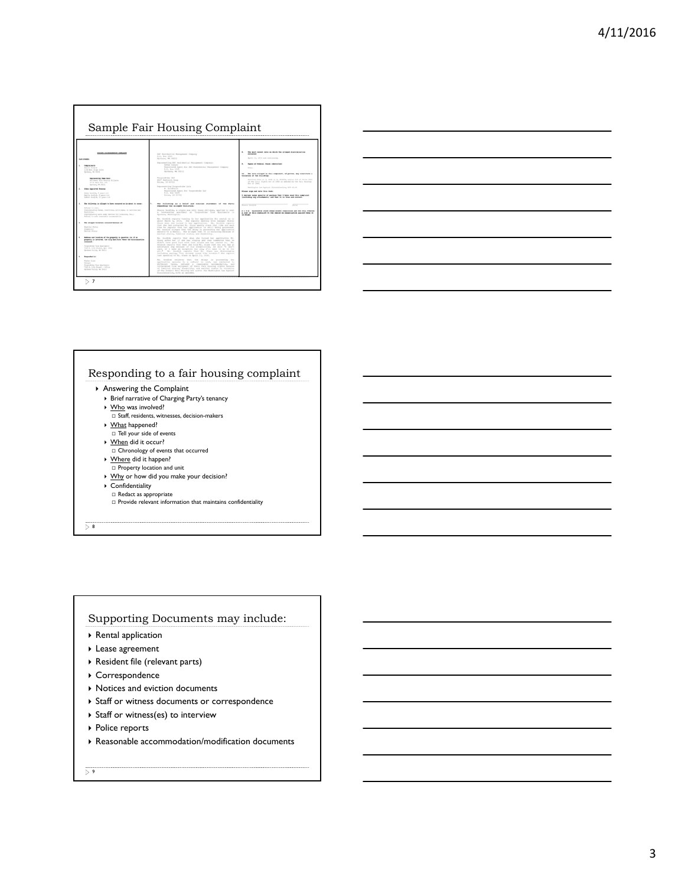

| the control of the control of the control of |  |
|----------------------------------------------|--|
|                                              |  |
|                                              |  |
|                                              |  |
|                                              |  |
|                                              |  |
|                                              |  |
|                                              |  |
|                                              |  |
|                                              |  |
|                                              |  |
|                                              |  |
|                                              |  |
|                                              |  |
|                                              |  |

## Responding to a fair housing complaint

- Answering the Complaint
	- ▶ Brief narrative of Charging Party's tenancy
	- ▶ Who was involved?  $\square$  Staff, residents, witnesses, decision-makers
	- What happened?
	- $\square$  Tell your side of events
	- ▶ When did it occur?
	- $\Box$  Chronology of events that occurred
	- ▶ Where did it happen?  $\hfill \Box$  <br> Property location and unit
	- ▶ Why or how did you make your decision?
	- $\blacktriangleright$  Confidentiality
	-
	- □ Redact as appropriate<br>□ Provide relevant information that maintains confidentiality

 $\overline{)}$  8

## Supporting Documents may include:

- Rental application
- Lease agreement
- Resident file (relevant parts)
- Correspondence
- $\rightarrow$  Notices and eviction documents
- ▶ Staff or witness documents or correspondence
- Staff or witness(es) to interview
- ▶ Police reports
- Reasonable accommodation/modification documents

 $\overline{9}$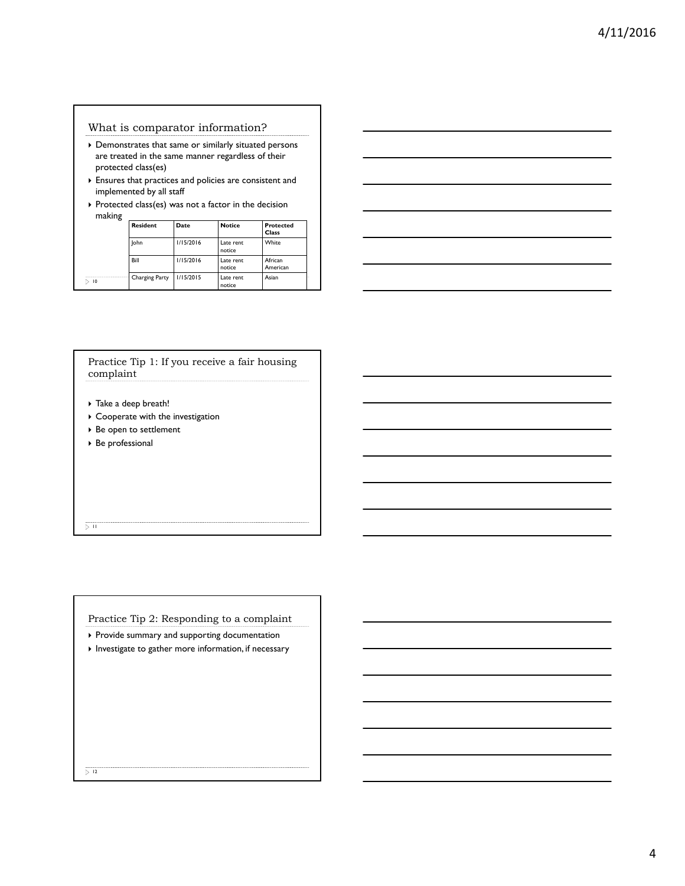## What is comparator information?

- Demonstrates that same or similarly situated persons are treated in the same manner regardless of their protected class(es)
- Ensures that practices and policies are consistent and implemented by all staff
- $\triangleright$  Protected class(es) was not a factor in the decision making **Resident Date Notice Protected**

|    | Resident       | Date      | notice              | Protected<br>Class  |  |
|----|----------------|-----------|---------------------|---------------------|--|
|    | lohn           | 1/15/2016 | Late rent<br>notice | White               |  |
|    | Bill           | 1/15/2016 | Late rent<br>notice | African<br>American |  |
| 10 | Charging Party | 1/15/2015 | Late rent<br>notice | Asian               |  |



## Practice Tip 1: If you receive a fair housing complaint

- Take a deep breath!
- ▶ Cooperate with the investigation
- ▶ Be open to settlement
- Be professional

 $\overline{>11}$ 

Practice Tip 2: Responding to a complaint

- Provide summary and supporting documentation
- $\blacktriangleright$  Investigate to gather more information, if necessary

 $\overline{>12}$